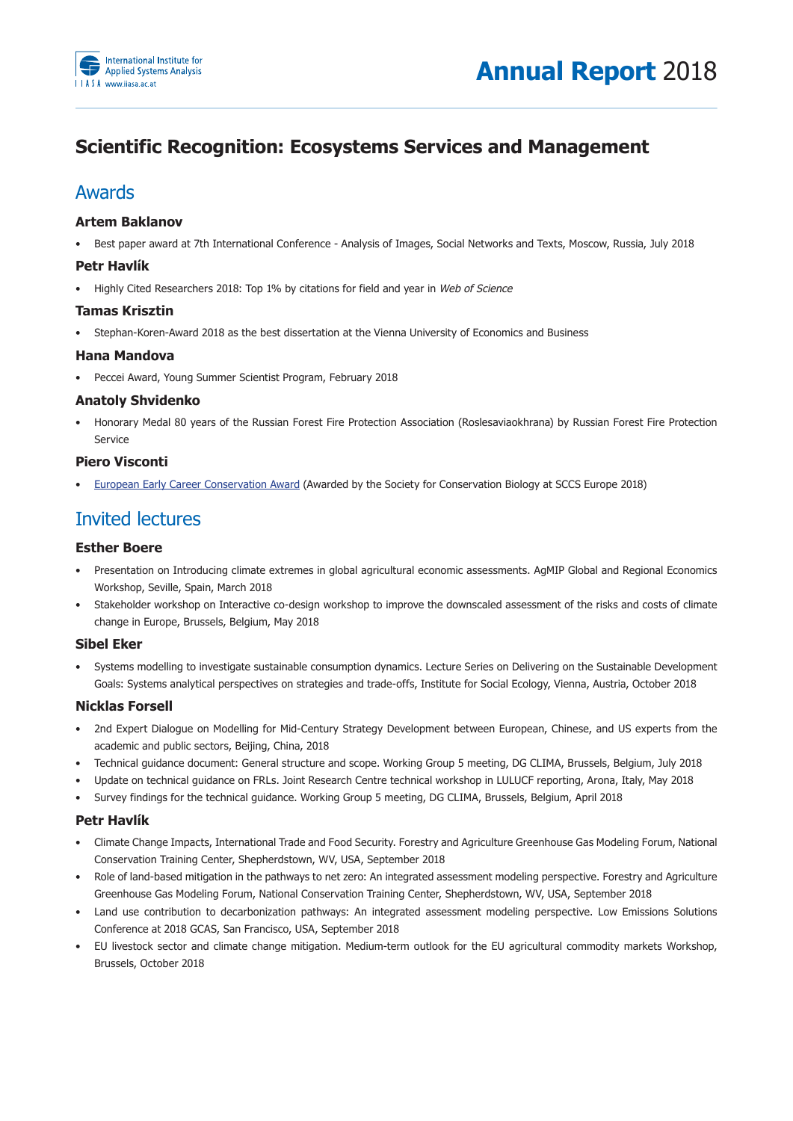

# **Scientific Recognition: Ecosystems Services and Management**

# Awards

## **Artem Baklanov**

• Best paper award at 7th International Conference - Analysis of Images, Social Networks and Texts, Moscow, Russia, July 2018

# **Petr Havlík**

• Highly Cited Researchers 2018: Top 1% by citations for field and year in Web of Science

## **Tamas Krisztin**

• Stephan-Koren-Award 2018 as the best dissertation at the Vienna University of Economics and Business

## **Hana Mandova**

• Peccei Award, Young Summer Scientist Program, February 2018

## **Anatoly Shvidenko**

Honorary Medal 80 years of the Russian Forest Fire Protection Association (Roslesaviaokhrana) by Russian Forest Fire Protection Service 

# **Piero Visconti**

European Early Career Conservation Award (Awarded by the Society for Conservation Biology at SCCS Europe 2018)

# Invited lectures

## **Esther Boere**

- Presentation on Introducing climate extremes in global agricultural economic assessments. AgMIP Global and Regional Economics Workshop, Seville, Spain, March 2018
- Stakeholder workshop on Interactive co-design workshop to improve the downscaled assessment of the risks and costs of climate change in Europe, Brussels, Belgium, May 2018

# **Sibel Eker**

• Systems modelling to investigate sustainable consumption dynamics. Lecture Series on Delivering on the Sustainable Development Goals: Systems analytical perspectives on strategies and trade-offs, Institute for Social Ecology, Vienna, Austria, October 2018

# **Nicklas Forsell**

- 2nd Expert Dialogue on Modelling for Mid-Century Strategy Development between European, Chinese, and US experts from the academic and public sectors, Beijing, China, 2018
- Technical quidance document: General structure and scope. Working Group 5 meeting, DG CLIMA, Brussels, Belgium, July 2018
- Update on technical quidance on FRLs. Joint Research Centre technical workshop in LULUCF reporting, Arona, Italy, May 2018
- Survey findings for the technical guidance. Working Group 5 meeting, DG CLIMA, Brussels, Belgium, April 2018

#### **Petr Havlík**

- Climate Change Impacts, International Trade and Food Security. Forestry and Agriculture Greenhouse Gas Modeling Forum, National Conservation Training Center, Shepherdstown, WV, USA, September 2018
- Role of land-based mitigation in the pathways to net zero: An integrated assessment modeling perspective. Forestry and Agriculture Greenhouse Gas Modeling Forum, National Conservation Training Center, Shepherdstown, WV, USA, September 2018
- Land use contribution to decarbonization pathways: An integrated assessment modeling perspective. Low Emissions Solutions Conference at 2018 GCAS, San Francisco, USA, September 2018
- EU livestock sector and climate change mitigation. Medium-term outlook for the EU agricultural commodity markets Workshop, Brussels, October 2018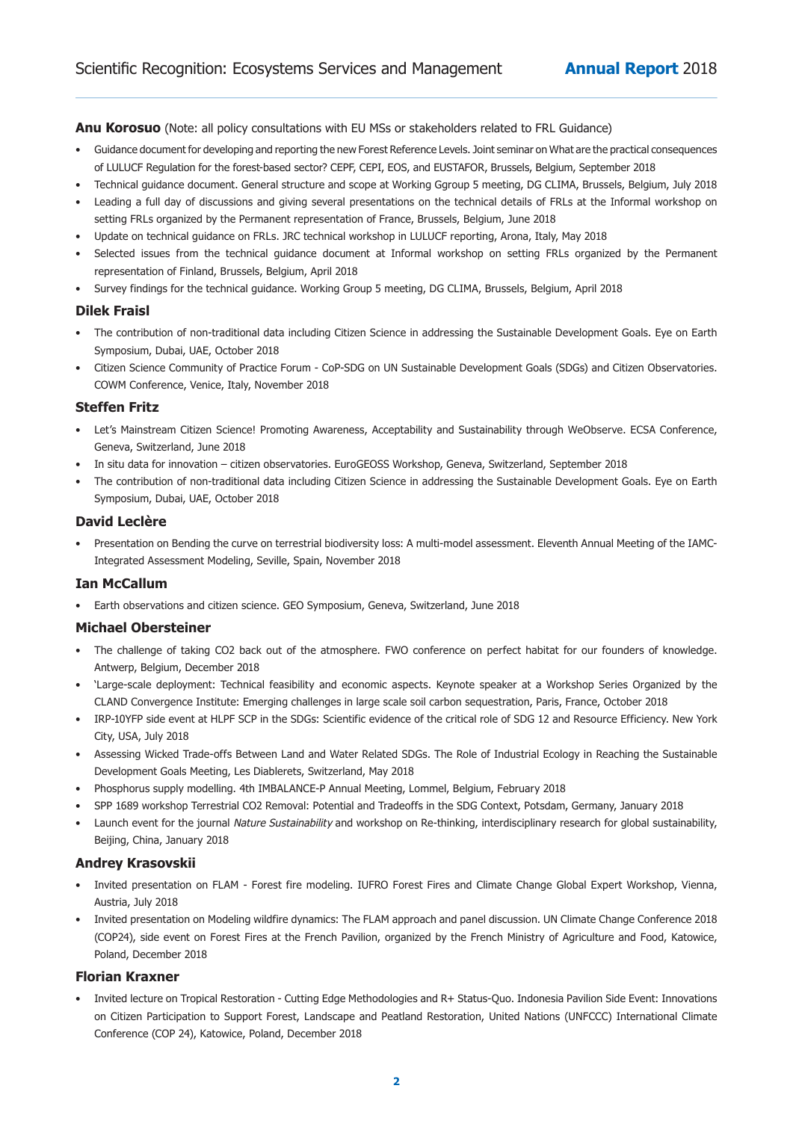**Anu Korosuo** (Note: all policy consultations with EU MSs or stakeholders related to FRL Guidance)

- Guidance document for developing and reporting the new Forest Reference Levels. Joint seminar on What are the practical consequences of LULUCF Regulation for the forest-based sector? CEPF, CEPI, EOS, and EUSTAFOR, Brussels, Belgium, September 2018
- Technical guidance document. General structure and scope at Working Ggroup 5 meeting, DG CLIMA, Brussels, Belgium, July 2018
- Leading a full day of discussions and giving several presentations on the technical details of FRLs at the Informal workshop on setting FRLs organized by the Permanent representation of France, Brussels, Belgium, June 2018
- Update on technical guidance on FRLs. JRC technical workshop in LULUCF reporting, Arona, Italy, May 2018
- Selected issues from the technical guidance document at Informal workshop on setting FRLs organized by the Permanent representation of Finland, Brussels, Belgium, April 2018
- Survey findings for the technical guidance. Working Group 5 meeting, DG CLIMA, Brussels, Belgium, April 2018

## **Dilek Fraisl**

- The contribution of non-traditional data including Citizen Science in addressing the Sustainable Development Goals. Eye on Earth Symposium, Dubai, UAE, October 2018
- Citizen Science Community of Practice Forum CoP-SDG on UN Sustainable Development Goals (SDGs) and Citizen Observatories. COWM Conference, Venice, Italy, November 2018

## **Steffen Fritz**

- Let's Mainstream Citizen Science! Promoting Awareness, Acceptability and Sustainability through WeObserve. ECSA Conference, Geneva, Switzerland, June 2018
- In situ data for innovation citizen observatories. EuroGEOSS Workshop, Geneva, Switzerland, September 2018
- The contribution of non-traditional data including Citizen Science in addressing the Sustainable Development Goals. Eye on Earth Symposium, Dubai, UAE, October 2018

#### **David Leclère**

• Presentation on Bending the curve on terrestrial biodiversity loss: A multi-model assessment. Eleventh Annual Meeting of the IAMC-Integrated Assessment Modeling, Seville, Spain, November 2018

#### **Ian McCallum**

• Earth observations and citizen science. GEO Symposium, Geneva, Switzerland, June 2018

#### **Michael Obersteiner**

- The challenge of taking CO2 back out of the atmosphere. FWO conference on perfect habitat for our founders of knowledge. Antwerp, Belgium, December 2018
- 'Large-scale deployment: Technical feasibility and economic aspects. Keynote speaker at a Workshop Series Organized by the CLAND Convergence Institute: Emerging challenges in large scale soil carbon sequestration, Paris, France, October 2018
- IRP-10YFP side event at HLPF SCP in the SDGs: Scientific evidence of the critical role of SDG 12 and Resource Efficiency. New York City, USA, July 2018
- Assessing Wicked Trade-offs Between Land and Water Related SDGs. The Role of Industrial Ecology in Reaching the Sustainable Development Goals Meeting, Les Diablerets, Switzerland, May 2018
- Phosphorus supply modelling. 4th IMBALANCE-P Annual Meeting, Lommel, Belgium, February 2018
- SPP 1689 workshop Terrestrial CO2 Removal: Potential and Tradeoffs in the SDG Context, Potsdam, Germany, January 2018
- Launch event for the journal Nature Sustainability and workshop on Re-thinking, interdisciplinary research for global sustainability, Beijing, China, January 2018

#### **Andrey Krasovskii**

- Invited presentation on FLAM Forest fire modeling. IUFRO Forest Fires and Climate Change Global Expert Workshop, Vienna, Austria, July 2018
- Invited presentation on Modeling wildfire dynamics: The FLAM approach and panel discussion. UN Climate Change Conference 2018 (COP24), side event on Forest Fires at the French Pavilion, organized by the French Ministry of Agriculture and Food, Katowice, Poland, December 2018

#### **Florian Kraxner**

Invited lecture on Tropical Restoration - Cutting Edge Methodologies and R+ Status-Quo. Indonesia Pavilion Side Event: Innovations on Citizen Participation to Support Forest, Landscape and Peatland Restoration, United Nations (UNFCCC) International Climate Conference (COP 24), Katowice, Poland, December 2018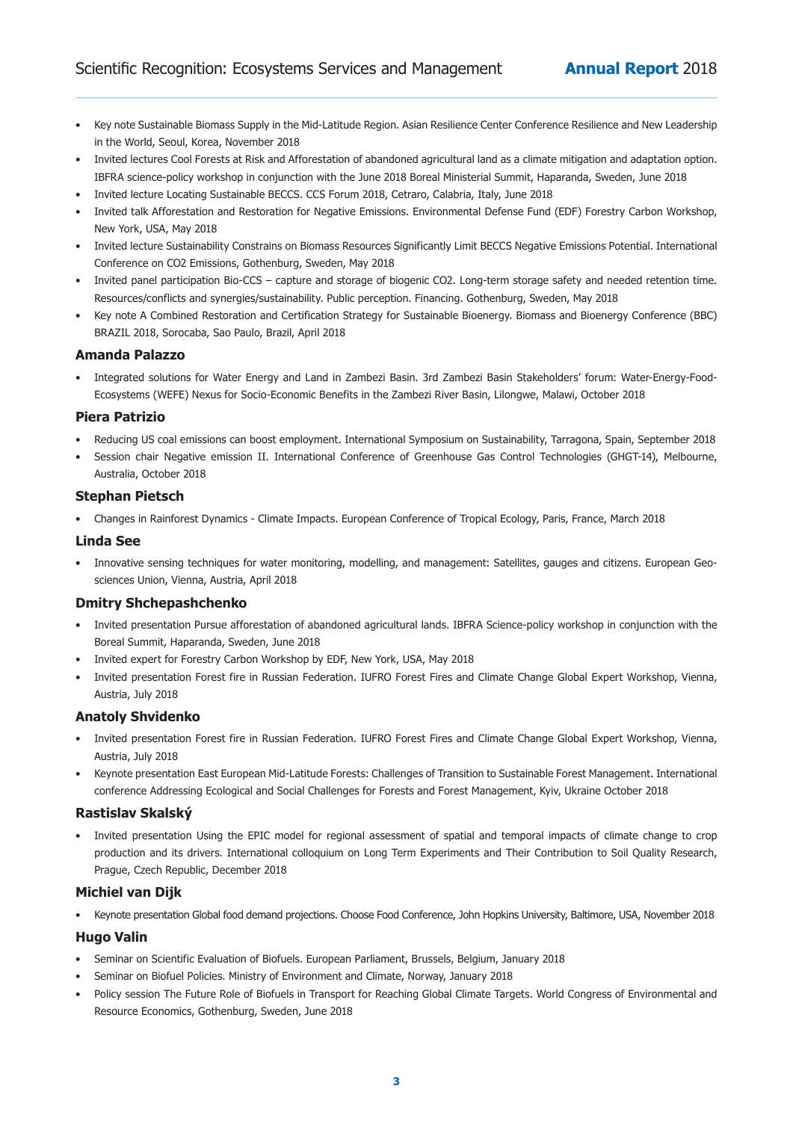- Key note Sustainable Biomass Supply in the Mid-Latitude Region. Asian Resilience Center Conference Resilience and New Leadership in the World, Seoul, Korea, November 2018
- Invited lectures Cool Forests at Risk and Afforestation of abandoned agricultural land as a climate mitigation and adaptation option. IBFRA science-policy workshop in conjunction with the June 2018 Boreal Ministerial Summit, Haparanda, Sweden, June 2018
- Invited lecture Locating Sustainable BECCS. CCS Forum 2018, Cetraro, Calabria, Italy, June 2018
- Invited talk Afforestation and Restoration for Negative Emissions. Environmental Defense Fund (EDF) Forestry Carbon Workshop, New York, USA, May 2018
- Invited lecture Sustainability Constrains on Biomass Resources Significantly Limit BECCS Negative Emissions Potential. International Conference on CO2 Emissions, Gothenburg, Sweden, May 2018
- Invited panel participation Bio-CCS capture and storage of biogenic CO2. Long-term storage safety and needed retention time. Resources/conflicts and synergies/sustainability. Public perception. Financing. Gothenburg, Sweden, May 2018
- Key note A Combined Restoration and Certification Strategy for Sustainable Bioenergy. Biomass and Bioenergy Conference (BBC) BRAZIL 2018, Sorocaba, Sao Paulo, Brazil, April 2018

## **Amanda Palazzo**

• Integrated solutions for Water Energy and Land in Zambezi Basin. 3rd Zambezi Basin Stakeholders' forum: Water-Energy-Food-Ecosystems (WEFE) Nexus for Socio-Economic Benefits in the Zambezi River Basin, Lilongwe, Malawi, October 2018

#### **Piera Patrizio**

- Reducing US coal emissions can boost employment. International Symposium on Sustainability, Tarragona, Spain, September 2018
- Session chair Negative emission II. International Conference of Greenhouse Gas Control Technologies (GHGT-14), Melbourne, Australia, October 2018

#### **Stephan Pietsch**

• Changes in Rainforest Dynamics - Climate Impacts. European Conference of Tropical Ecology, Paris, France, March 2018

#### **Linda See**

• Innovative sensing techniques for water monitoring, modelling, and management: Satellites, gauges and citizens. European Geosciences Union, Vienna, Austria, April 2018

#### **Dmitry Shchepashchenko**

- Invited presentation Pursue afforestation of abandoned agricultural lands. IBFRA Science-policy workshop in conjunction with the Boreal Summit, Haparanda, Sweden, June 2018
- Invited expert for Forestry Carbon Workshop by EDF, New York, USA, May 2018
- Invited presentation Forest fire in Russian Federation. IUFRO Forest Fires and Climate Change Global Expert Workshop, Vienna, Austria, July 2018

#### **Anatoly Shvidenko**

- Invited presentation Forest fire in Russian Federation. IUFRO Forest Fires and Climate Change Global Expert Workshop, Vienna, Austria, July 2018
- Keynote presentation East European Mid-Latitude Forests: Challenges of Transition to Sustainable Forest Management. International conference Addressing Ecological and Social Challenges for Forests and Forest Management, Kyiv, Ukraine October 2018

#### **Rastislav Skalský**

Invited presentation Using the EPIC model for regional assessment of spatial and temporal impacts of climate change to crop production and its drivers. International colloquium on Long Term Experiments and Their Contribution to Soil Quality Research, Prague, Czech Republic, December 2018

#### **Michiel van Dijk**

• Keynote presentation Global food demand projections. Choose Food Conference, John Hopkins University, Baltimore, USA, November 2018

#### **Hugo Valin**

- Seminar on Scientific Evaluation of Biofuels. European Parliament, Brussels, Belgium, January 2018
- Seminar on Biofuel Policies. Ministry of Environment and Climate, Norway, January 2018
- Policy session The Future Role of Biofuels in Transport for Reaching Global Climate Targets. World Congress of Environmental and Resource Economics, Gothenburg, Sweden, June 2018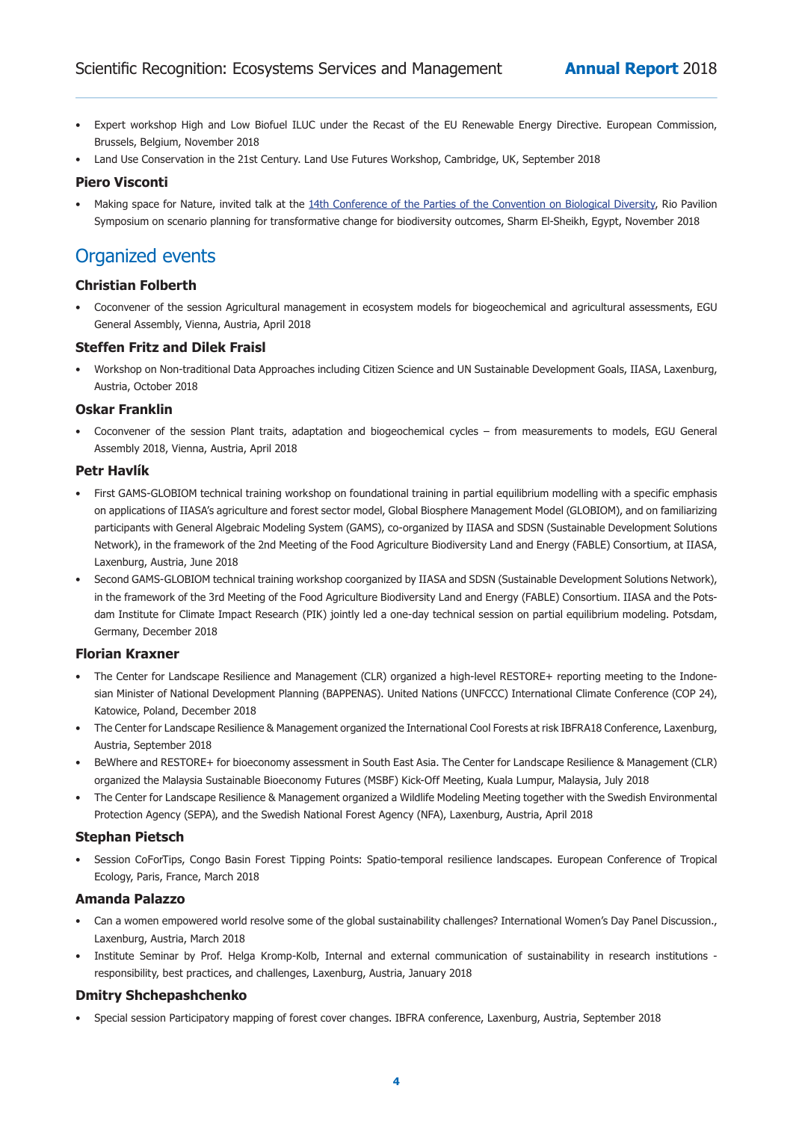- Expert workshop High and Low Biofuel ILUC under the Recast of the EU Renewable Energy Directive. European Commission, Brussels, Belgium, November 2018
- Land Use Conservation in the 21st Century. Land Use Futures Workshop, Cambridge, UK, September 2018

#### **Piero Visconti**

• Making space for Nature, invited talk at the 14th Conference of the Parties of the Convention on Biological Diversity, Rio Pavilion Symposium on scenario planning for transformative change for biodiversity outcomes, Sharm El-Sheikh, Egypt, November 2018

# **Organized** events

# **Christian Folberth**

• Coconvener of the session Agricultural management in ecosystem models for biogeochemical and agricultural assessments, EGU General Assembly, Vienna, Austria, April 2018

#### **Steffen Fritz and Dilek Fraisl**

• Workshop on Non-traditional Data Approaches including Citizen Science and UN Sustainable Development Goals, IIASA, Laxenburg, Austria, October 2018

## **Oskar Franklin**

• Coconvener of the session Plant traits, adaptation and biogeochemical cycles – from measurements to models, EGU General Assembly 2018, Vienna, Austria, April 2018

## **Petr Havlík**

- First GAMS-GLOBIOM technical training workshop on foundational training in partial equilibrium modelling with a specific emphasis on applications of IIASA's agriculture and forest sector model, Global Biosphere Management Model (GLOBIOM), and on familiarizing participants with General Algebraic Modeling System (GAMS), co-organized by IIASA and SDSN (Sustainable Development Solutions Network), in the framework of the 2nd Meeting of the Food Agriculture Biodiversity Land and Energy (FABLE) Consortium, at IIASA, Laxenburg, Austria, June 2018
- Second GAMS-GLOBIOM technical training workshop coorganized by IIASA and SDSN (Sustainable Development Solutions Network), in the framework of the 3rd Meeting of the Food Agriculture Biodiversity Land and Energy (FABLE) Consortium. IIASA and the Potsdam Institute for Climate Impact Research (PIK) jointly led a one-day technical session on partial equilibrium modeling. Potsdam, Germany, December 2018

#### **Florian Kraxner**

- The Center for Landscape Resilience and Management (CLR) organized a high-level RESTORE+ reporting meeting to the Indonesian Minister of National Development Planning (BAPPENAS). United Nations (UNFCCC) International Climate Conference (COP 24), Katowice, Poland, December 2018
- The Center for Landscape Resilience & Management organized the International Cool Forests at risk IBFRA18 Conference, Laxenburg, Austria, September 2018
- BeWhere and RESTORE+ for bioeconomy assessment in South East Asia. The Center for Landscape Resilience & Management (CLR) organized the Malaysia Sustainable Bioeconomy Futures (MSBF) Kick-Off Meeting, Kuala Lumpur, Malaysia, July 2018
- The Center for Landscape Resilience & Management organized a Wildlife Modeling Meeting together with the Swedish Environmental Protection Agency (SEPA), and the Swedish National Forest Agency (NFA), Laxenburg, Austria, April 2018

#### **Stephan Pietsch**

Session CoForTips, Congo Basin Forest Tipping Points: Spatio-temporal resilience landscapes. European Conference of Tropical Ecology, Paris, France, March 2018

#### **Amanda Palazzo**

- Can a women empowered world resolve some of the global sustainability challenges? International Women's Day Panel Discussion., Laxenburg, Austria, March 2018
- Institute Seminar by Prof. Helga Kromp-Kolb, Internal and external communication of sustainability in research institutions responsibility, best practices, and challenges, Laxenburg, Austria, January 2018

#### **Dmitry Shchepashchenko**

Special session Participatory mapping of forest cover changes. IBFRA conference, Laxenburg, Austria, September 2018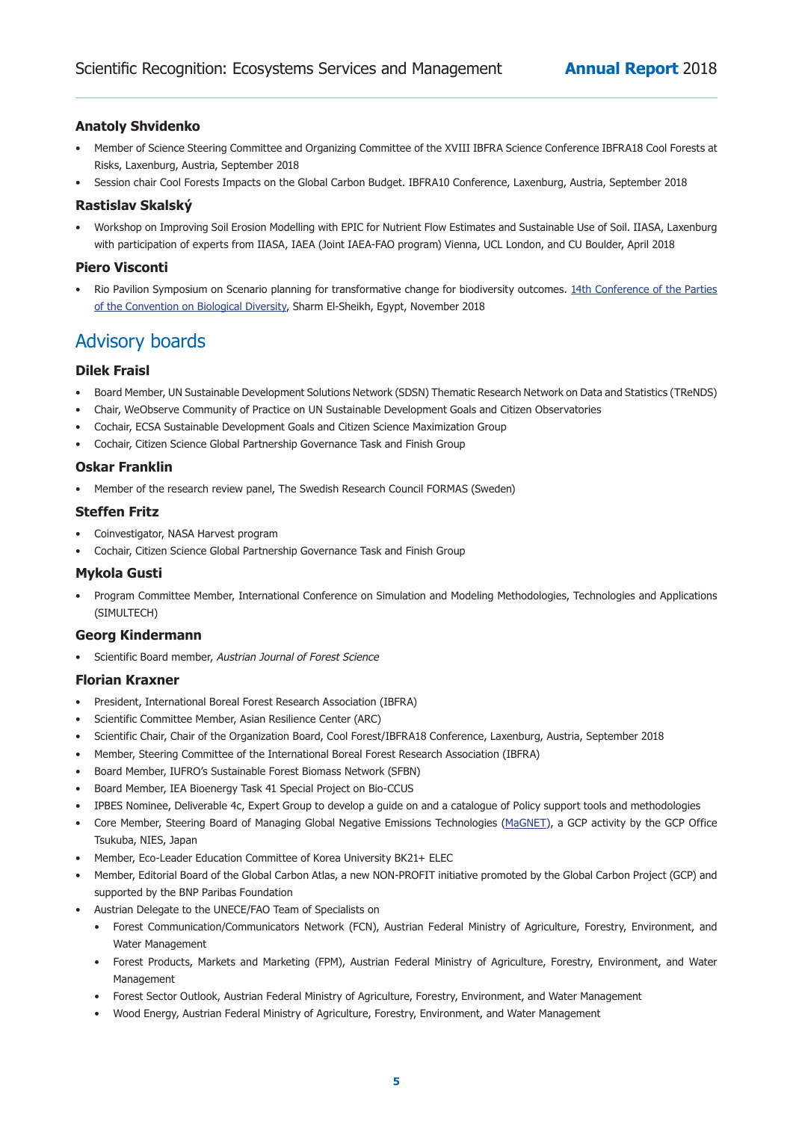# **Anatoly Shvidenko**

- Member of Science Steering Committee and Organizing Committee of the XVIII IBFRA Science Conference IBFRA18 Cool Forests at Risks, Laxenburg, Austria, September 2018
- Session chair Cool Forests Impacts on the Global Carbon Budget. IBFRA10 Conference, Laxenburg, Austria, September 2018

# **Rastislav Skalský**

• Workshop on Improving Soil Erosion Modelling with EPIC for Nutrient Flow Estimates and Sustainable Use of Soil. IIASA, Laxenburg with participation of experts from IIASA, IAEA (Joint IAEA-FAO program) Vienna, UCL London, and CU Boulder, April 2018

# **Piero Visconti**

• Rio Pavilion Symposium on Scenario planning for transformative change for biodiversity outcomes. 14th Conference of the Parties of the Convention on Biological Diversity, Sharm El-Sheikh, Egypt, November 2018

# Advisory boards

## **Dilek Fraisl**

- Board Member, UN Sustainable Development Solutions Network (SDSN) Thematic Research Network on Data and Statistics (TReNDS)
- Chair, WeObserve Community of Practice on UN Sustainable Development Goals and Citizen Observatories
- Cochair, ECSA Sustainable Development Goals and Citizen Science Maximization Group
- Cochair, Citizen Science Global Partnership Governance Task and Finish Group

#### **Oskar Franklin**

• Member of the research review panel, The Swedish Research Council FORMAS (Sweden)

#### **Steffen Fritz**

- Coinvestigator, NASA Harvest program
- Cochair, Citizen Science Global Partnership Governance Task and Finish Group

#### **Mykola Gusti**

Program Committee Member, International Conference on Simulation and Modeling Methodologies, Technologies and Applications (SIMULTECH)

#### **Georg Kindermann**

Scientific Board member, Austrian Journal of Forest Science

#### **Florian Kraxner**

- President, International Boreal Forest Research Association (IBFRA)
- Scientific Committee Member, Asian Resilience Center (ARC)
- Scientific Chair, Chair of the Organization Board, Cool Forest/IBFRA18 Conference, Laxenburg, Austria, September 2018
- Member, Steering Committee of the International Boreal Forest Research Association (IBFRA)
- Board Member, IUFRO's Sustainable Forest Biomass Network (SFBN)
- Board Member, IEA Bioenergy Task 41 Special Project on Bio-CCUS
- IPBES Nominee, Deliverable 4c, Expert Group to develop a guide on and a catalogue of Policy support tools and methodologies
- Core Member, Steering Board of Managing Global Negative Emissions Technologies [\(MaGNET](http://www.cger.nies.go.jp/gcp/magnet.html)), a GCP activity by the GCP Office Tsukuba, NIES, Japan
- Member, Eco-Leader Education Committee of Korea University BK21+ ELEC
- Member, Editorial Board of the Global Carbon Atlas, a new NON-PROFIT initiative promoted by the Global Carbon Project (GCP) and supported by the BNP Paribas Foundation
- Austrian Delegate to the UNECE/FAO Team of Specialists on
	- Forest Communication/Communicators Network (FCN), Austrian Federal Ministry of Agriculture, Forestry, Environment, and Water Management
	- Forest Products, Markets and Marketing (FPM), Austrian Federal Ministry of Agriculture, Forestry, Environment, and Water Management
	- Forest Sector Outlook, Austrian Federal Ministry of Agriculture, Forestry, Environment, and Water Management
	- • Wood Energy, Austrian Federal Ministry of Agriculture, Forestry, Environment, and Water Management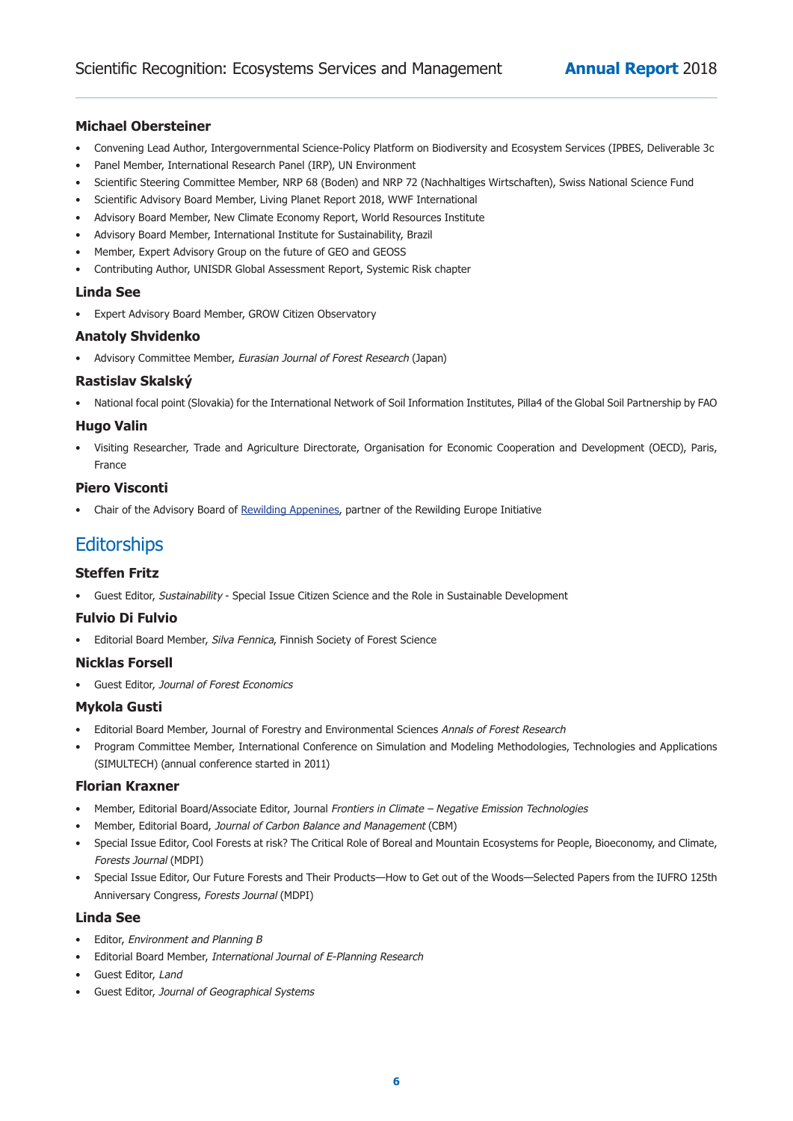# **Michael Obersteiner**

- Convening Lead Author, Intergovernmental Science-Policy Platform on Biodiversity and Ecosystem Services (IPBES, Deliverable 3c
- Panel Member, International Research Panel (IRP), UN Environment
- Scientific Steering Committee Member, NRP 68 (Boden) and NRP 72 (Nachhaltiges Wirtschaften), Swiss National Science Fund
- Scientific Advisory Board Member, Living Planet Report 2018, WWF International
- Advisory Board Member, New Climate Economy Report, World Resources Institute
- Advisory Board Member, International Institute for Sustainability, Brazil
- Member, Expert Advisory Group on the future of GEO and GEOSS
- Contributing Author, UNISDR Global Assessment Report, Systemic Risk chapter

## **Linda See**

• Expert Advisory Board Member, GROW Citizen Observatory

## **Anatoly Shvidenko**

• Advisory Committee Member, *Eurasian Journal of Forest Research* (Japan)

## **Rastislav Skalský**

National focal point (Slovakia) for the International Network of Soil Information Institutes, Pilla4 of the Global Soil Partnership by FAO

# **Hugo Valin**

• Visiting Researcher, Trade and Agriculture Directorate, Organisation for Economic Cooperation and Development (OECD), Paris, France

### **Piero Visconti**

Chair of the Advisory Board of Rewilding Appenines, partner of the Rewilding Europe Initiative

# **Editorships**

# **Steffen Fritz**

• Guest Editor, Sustainability - Special Issue Citizen Science and the Role in Sustainable Development

#### **Fulvio Di Fulvio**

• Editorial Board Member, Silva Fennica, Finnish Society of Forest Science

# **Nicklas Forsell**

• Guest Editor, Journal of Forest Economics

# **Mykola Gusti**

- Editorial Board Member, Journal of Forestry and Environmental Sciences Annals of Forest Research
- Program Committee Member, International Conference on Simulation and Modeling Methodologies, Technologies and Applications (SIMULTECH) (annual conference started in 2011)

#### **Florian Kraxner**

- Member, Editorial Board/Associate Editor, Journal Frontiers in Climate Negative Emission Technologies
- Member, Editorial Board, Journal of Carbon Balance and Management (CBM)
- Special Issue Editor, Cool Forests at risk? The Critical Role of Boreal and Mountain Ecosystems for People, Bioeconomy, and Climate, Forests Journal (MDPI)
- Special Issue Editor, Our Future Forests and Their Products—How to Get out of the Woods—Selected Papers from the IUFRO 125th Anniversary Congress, Forests Journal (MDPI)

#### **Linda See**

- Editor, Environment and Planning B
- Editorial Board Member, International Journal of E-Planning Research
- Guest Editor, Land
- Guest Editor, Journal of Geographical Systems